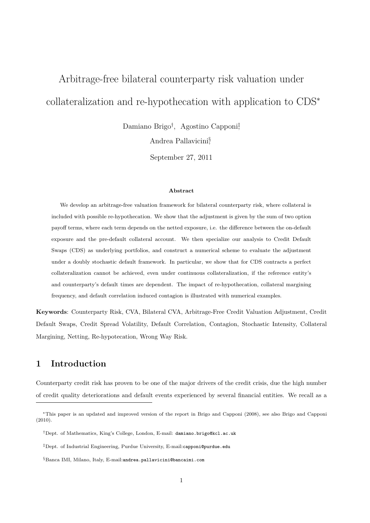# Arbitrage-free bilateral counterparty risk valuation under collateralization and re-hypothecation with application to CDS<sup>∗</sup>

Damiano Brigo† , Agostino Capponi‡ , Andrea Pallavicini§ ,

September 27, 2011

#### **Abstract**

We develop an arbitrage-free valuation framework for bilateral counterparty risk, where collateral is included with possible re-hypothecation. We show that the adjustment is given by the sum of two option payoff terms, where each term depends on the netted exposure, i.e. the difference between the on-default exposure and the pre-default collateral account. We then specialize our analysis to Credit Default Swaps (CDS) as underlying portfolios, and construct a numerical scheme to evaluate the adjustment under a doubly stochastic default framework. In particular, we show that for CDS contracts a perfect collateralization cannot be achieved, even under continuous collateralization, if the reference entity's and counterparty's default times are dependent. The impact of re-hypothecation, collateral margining frequency, and default correlation induced contagion is illustrated with numerical examples.

**Keywords**: Counterparty Risk, CVA, Bilateral CVA, Arbitrage-Free Credit Valuation Adjustment, Credit Default Swaps, Credit Spread Volatility, Default Correlation, Contagion, Stochastic Intensity, Collateral Margining, Netting, Re-hypotecation, Wrong Way Risk.

## **1 Introduction**

Counterparty credit risk has proven to be one of the major drivers of the credit crisis, due the high number of credit quality deteriorations and default events experienced by several financial entities. We recall as a

<sup>∗</sup>This paper is an updated and improved version of the report in Brigo and Capponi (2008), see also Brigo and Capponi (2010).

<sup>†</sup>Dept. of Mathematics, King's College, London, E-mail: damiano.brigo@kcl.ac.uk

<sup>‡</sup>Dept. of Industrial Engineering, Purdue University, E-mail:capponi@purdue.edu

<sup>§</sup>Banca IMI, Milano, Italy, E-mail:andrea.pallavicini@bancaimi.com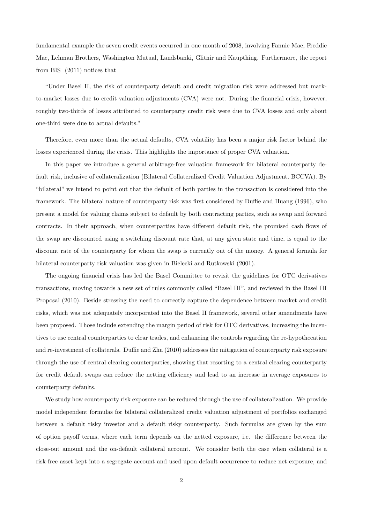fundamental example the seven credit events occurred in one month of 2008, involving Fannie Mae, Freddie Mac, Lehman Brothers, Washington Mutual, Landsbanki, Glitnir and Kaupthing. Furthermore, the report from BIS (2011) notices that

"Under Basel II, the risk of counterparty default and credit migration risk were addressed but markto-market losses due to credit valuation adjustments (CVA) were not. During the financial crisis, however, roughly two-thirds of losses attributed to counterparty credit risk were due to CVA losses and only about one-third were due to actual defaults."

Therefore, even more than the actual defaults, CVA volatility has been a major risk factor behind the losses experienced during the crisis. This highlights the importance of proper CVA valuation.

In this paper we introduce a general arbitrage-free valuation framework for bilateral counterparty default risk, inclusive of collateralization (Bilateral Collateralized Credit Valuation Adjustment, BCCVA). By "bilateral" we intend to point out that the default of both parties in the transaction is considered into the framework. The bilateral nature of counterparty risk was first considered by Duffie and Huang (1996), who present a model for valuing claims subject to default by both contracting parties, such as swap and forward contracts. In their approach, when counterparties have different default risk, the promised cash flows of the swap are discounted using a switching discount rate that, at any given state and time, is equal to the discount rate of the counterparty for whom the swap is currently out of the money. A general formula for bilateral counterparty risk valuation was given in Bielecki and Rutkowski (2001).

The ongoing financial crisis has led the Basel Committee to revisit the guidelines for OTC derivatives transactions, moving towards a new set of rules commonly called "Basel III", and reviewed in the Basel III Proposal (2010). Beside stressing the need to correctly capture the dependence between market and credit risks, which was not adequately incorporated into the Basel II framework, several other amendments have been proposed. Those include extending the margin period of risk for OTC derivatives, increasing the incentives to use central counterparties to clear trades, and enhancing the controls regarding the re-hypothecation and re-investment of collaterals. Duffie and Zhu (2010) addresses the mitigation of counterparty risk exposure through the use of central clearing counterparties, showing that resorting to a central clearing counterparty for credit default swaps can reduce the netting efficiency and lead to an increase in average exposures to counterparty defaults.

We study how counterparty risk exposure can be reduced through the use of collateralization. We provide model independent formulas for bilateral collateralized credit valuation adjustment of portfolios exchanged between a default risky investor and a default risky counterparty. Such formulas are given by the sum of option payoff terms, where each term depends on the netted exposure, i.e. the difference between the close-out amount and the on-default collateral account. We consider both the case when collateral is a risk-free asset kept into a segregate account and used upon default occurrence to reduce net exposure, and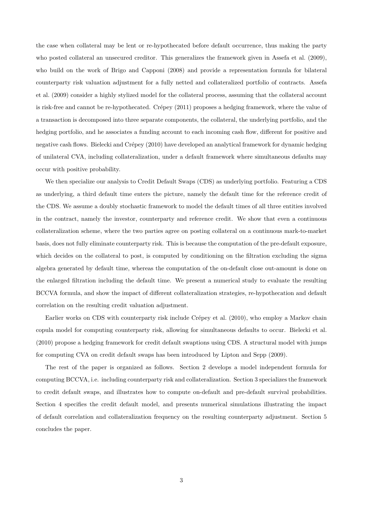the case when collateral may be lent or re-hypothecated before default occurrence, thus making the party who posted collateral an unsecured creditor. This generalizes the framework given in Assefa et al. (2009), who build on the work of Brigo and Capponi (2008) and provide a representation formula for bilateral counterparty risk valuation adjustment for a fully netted and collateralized portfolio of contracts. Assefa et al. (2009) consider a highly stylized model for the collateral process, assuming that the collateral account is risk-free and cannot be re-hypothecated. Crépey (2011) proposes a hedging framework, where the value of a transaction is decomposed into three separate components, the collateral, the underlying portfolio, and the hedging portfolio, and he associates a funding account to each incoming cash flow, different for positive and negative cash flows. Bielecki and Crépey (2010) have developed an analytical framework for dynamic hedging of unilateral CVA, including collateralization, under a default framework where simultaneous defaults may occur with positive probability.

We then specialize our analysis to Credit Default Swaps (CDS) as underlying portfolio. Featuring a CDS as underlying, a third default time enters the picture, namely the default time for the reference credit of the CDS. We assume a doubly stochastic framework to model the default times of all three entities involved in the contract, namely the investor, counterparty and reference credit. We show that even a continuous collateralization scheme, where the two parties agree on posting collateral on a continuous mark-to-market basis, does not fully eliminate counterparty risk. This is because the computation of the pre-default exposure, which decides on the collateral to post, is computed by conditioning on the filtration excluding the sigma algebra generated by default time, whereas the computation of the on-default close out-amount is done on the enlarged filtration including the default time. We present a numerical study to evaluate the resulting BCCVA formula, and show the impact of different collateralization strategies, re-hypothecation and default correlation on the resulting credit valuation adjustment.

Earlier works on CDS with counterparty risk include Crépey et al. (2010), who employ a Markov chain copula model for computing counterparty risk, allowing for simultaneous defaults to occur. Bielecki et al. (2010) propose a hedging framework for credit default swaptions using CDS. A structural model with jumps for computing CVA on credit default swaps has been introduced by Lipton and Sepp (2009).

The rest of the paper is organized as follows. Section 2 develops a model independent formula for computing BCCVA, i.e. including counterparty risk and collateralization. Section 3 specializes the framework to credit default swaps, and illustrates how to compute on-default and pre-default survival probabilities. Section 4 specifies the credit default model, and presents numerical simulations illustrating the impact of default correlation and collateralization frequency on the resulting counterparty adjustment. Section 5 concludes the paper.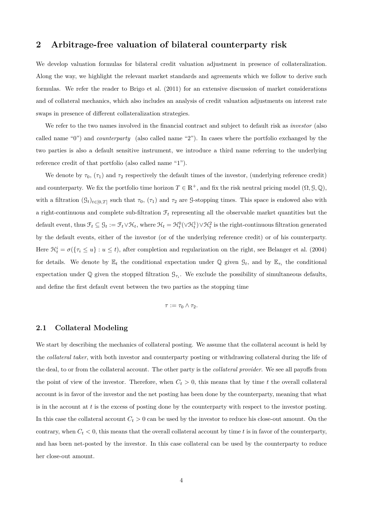## **2 Arbitrage-free valuation of bilateral counterparty risk**

We develop valuation formulas for bilateral credit valuation adjustment in presence of collateralization. Along the way, we highlight the relevant market standards and agreements which we follow to derive such formulas. We refer the reader to Brigo et al. (2011) for an extensive discussion of market considerations and of collateral mechanics, which also includes an analysis of credit valuation adjustments on interest rate swaps in presence of different collateralization strategies.

We refer to the two names involved in the financial contract and subject to default risk as *investor* (also called name "0") and *counterparty* (also called name "2"). In cases where the portfolio exchanged by the two parties is also a default sensitive instrument, we introduce a third name referring to the underlying reference credit of that portfolio (also called name "1").

We denote by  $\tau_0$ ,  $(\tau_1)$  and  $\tau_2$  respectively the default times of the investor, (underlying reference credit) and counterparty. We fix the portfolio time horizon  $T \in \mathbb{R}^+$ , and fix the risk neutral pricing model  $(\Omega, \mathcal{G}, \mathbb{Q})$ , with a filtration  $(\mathcal{G}_t)_{t\in[0,T]}$  such that  $\tau_0$ ,  $(\tau_1)$  and  $\tau_2$  are  $\mathcal{G}$ -stopping times. This space is endowed also with a right-continuous and complete sub-filtration  $\mathcal{F}_t$  representing all the observable market quantities but the default event, thus  $\mathcal{F}_t \subseteq \mathcal{G}_t := \mathcal{F}_t \vee \mathcal{H}_t$ , where  $\mathcal{H}_t = \mathcal{H}_t^0(\vee \mathcal{H}_t^1) \vee \mathcal{H}_t^2$  is the right-continuous filtration generated by the default events, either of the investor (or of the underlying reference credit) or of his counterparty. Here  $\mathcal{H}_t^i = \sigma(\{\tau_i \leq u\} : u \leq t)$ , after completion and regularization on the right, see Belanger et al. (2004) for details. We denote by  $\mathbb{E}_t$  the conditional expectation under  $\mathbb{Q}$  given  $\mathcal{G}_t$ , and by  $\mathbb{E}_{\tau_i}$  the conditional expectation under  $\mathbb Q$  given the stopped filtration  $\mathcal G_{\tau_i}$ . We exclude the possibility of simultaneous defaults, and define the first default event between the two parties as the stopping time

$$
\tau:=\tau_0\wedge\tau_2.
$$

#### **2.1 Collateral Modeling**

We start by describing the mechanics of collateral posting. We assume that the collateral account is held by the *collateral taker*, with both investor and counterparty posting or withdrawing collateral during the life of the deal, to or from the collateral account. The other party is the *collateral provider*. We see all payoffs from the point of view of the investor. Therefore, when  $C_t > 0$ , this means that by time *t* the overall collateral account is in favor of the investor and the net posting has been done by the counterparty, meaning that what is in the account at *t* is the excess of posting done by the counterparty with respect to the investor posting. In this case the collateral account  $C_t > 0$  can be used by the investor to reduce his close-out amount. On the contrary, when  $C_t < 0$ , this means that the overall collateral account by time  $t$  is in favor of the counterparty, and has been net-posted by the investor. In this case collateral can be used by the counterparty to reduce her close-out amount.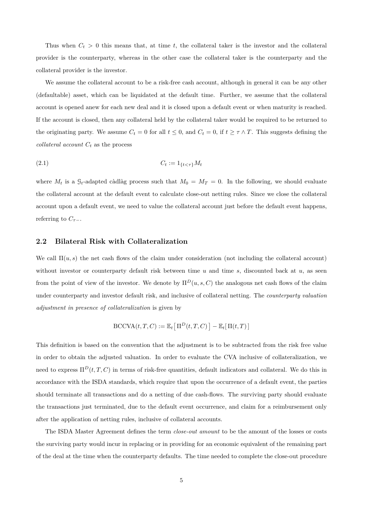Thus when  $C_t > 0$  this means that, at time *t*, the collateral taker is the investor and the collateral provider is the counterparty, whereas in the other case the collateral taker is the counterparty and the collateral provider is the investor.

We assume the collateral account to be a risk-free cash account, although in general it can be any other (defaultable) asset, which can be liquidated at the default time. Further, we assume that the collateral account is opened anew for each new deal and it is closed upon a default event or when maturity is reached. If the account is closed, then any collateral held by the collateral taker would be required to be returned to the originating party. We assume  $C_t = 0$  for all  $t \leq 0$ , and  $C_t = 0$ , if  $t \geq \tau \wedge T$ . This suggests defining the *collateral account*  $C_t$  as the process

$$
(2.1) \tC_t := 1_{\{t < \tau\}} M_t
$$

where  $M_t$  is a  $\mathcal{G}_t$ -adapted càdlàg process such that  $M_0 = M_T = 0$ . In the following, we should evaluate the collateral account at the default event to calculate close-out netting rules. Since we close the collateral account upon a default event, we need to value the collateral account just before the default event happens, referring to  $C_{\tau-}$ .

### **2.2 Bilateral Risk with Collateralization**

We call  $\Pi(u, s)$  the net cash flows of the claim under consideration (not including the collateral account) without investor or counterparty default risk between time *u* and time *s*, discounted back at *u*, as seen from the point of view of the investor. We denote by  $\Pi^D(u, s, C)$  the analogous net cash flows of the claim under counterparty and investor default risk, and inclusive of collateral netting. The *counterparty valuation adjustment in presence of collateralization* is given by

$$
\text{BCCVA}(t, T, C) := \mathbb{E}_t \big[ \Pi^D(t, T, C) \big] - \mathbb{E}_t \big[ \Pi(t, T) \big]
$$

This definition is based on the convention that the adjustment is to be subtracted from the risk free value in order to obtain the adjusted valuation. In order to evaluate the CVA inclusive of collateralization, we need to express  $\Pi^D(t,T,C)$  in terms of risk-free quantities, default indicators and collateral. We do this in accordance with the ISDA standards, which require that upon the occurrence of a default event, the parties should terminate all transactions and do a netting of due cash-flows. The surviving party should evaluate the transactions just terminated, due to the default event occurrence, and claim for a reimbursement only after the application of netting rules, inclusive of collateral accounts.

The ISDA Master Agreement defines the term *close-out amount* to be the amount of the losses or costs the surviving party would incur in replacing or in providing for an economic equivalent of the remaining part of the deal at the time when the counterparty defaults. The time needed to complete the close-out procedure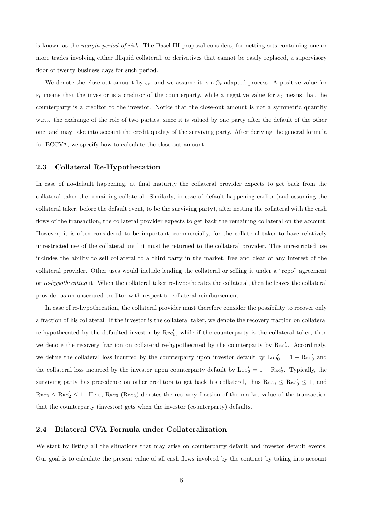is known as the *margin period of risk*. The Basel III proposal considers, for netting sets containing one or more trades involving either illiquid collateral, or derivatives that cannot be easily replaced, a supervisory floor of twenty business days for such period.

We denote the close-out amount by  $\varepsilon_t$ , and we assume it is a  $\mathcal{G}_t$ -adapted process. A positive value for  $\varepsilon_t$  means that the investor is a creditor of the counterparty, while a negative value for  $\varepsilon_t$  means that the counterparty is a creditor to the investor. Notice that the close-out amount is not a symmetric quantity w.r.t. the exchange of the role of two parties, since it is valued by one party after the default of the other one, and may take into account the credit quality of the surviving party. After deriving the general formula for BCCVA, we specify how to calculate the close-out amount.

#### **2.3 Collateral Re-Hypothecation**

In case of no-default happening, at final maturity the collateral provider expects to get back from the collateral taker the remaining collateral. Similarly, in case of default happening earlier (and assuming the collateral taker, before the default event, to be the surviving party), after netting the collateral with the cash flows of the transaction, the collateral provider expects to get back the remaining collateral on the account. However, it is often considered to be important, commercially, for the collateral taker to have relatively unrestricted use of the collateral until it must be returned to the collateral provider. This unrestricted use includes the ability to sell collateral to a third party in the market, free and clear of any interest of the collateral provider. Other uses would include lending the collateral or selling it under a "repo" agreement or *re-hypothecating* it. When the collateral taker re-hypothecates the collateral, then he leaves the collateral provider as an unsecured creditor with respect to collateral reimbursement.

In case of re-hypothecation, the collateral provider must therefore consider the possibility to recover only a fraction of his collateral. If the investor is the collateral taker, we denote the recovery fraction on collateral re-hypothecated by the defaulted investor by  $\text{Re}c'_0$ , while if the counterparty is the collateral taker, then we denote the recovery fraction on collateral re-hypothecated by the counterparty by  $\text{Rec}'_2$ . Accordingly, we define the collateral loss incurred by the counterparty upon investor default by  $\text{L}\sigma p'_0 = 1 - \text{R}\epsilon c'_0$  and the collateral loss incurred by the investor upon counterparty default by  $\text{L}_{\text{GD}}{}'_{2} = 1 - \text{R}_{\text{EC}}{}'_{2}$ . Typically, the surviving party has precedence on other creditors to get back his collateral, thus  $\text{Re}c_0 \le \text{Re}c'_0 \le 1$ , and  $\text{Re}z_2 \leq \text{Re}z_2' \leq 1$ . Here,  $\text{Re}z_0$  ( $\text{Re}z_2$ ) denotes the recovery fraction of the market value of the transaction that the counterparty (investor) gets when the investor (counterparty) defaults.

#### **2.4 Bilateral CVA Formula under Collateralization**

We start by listing all the situations that may arise on counterparty default and investor default events. Our goal is to calculate the present value of all cash flows involved by the contract by taking into account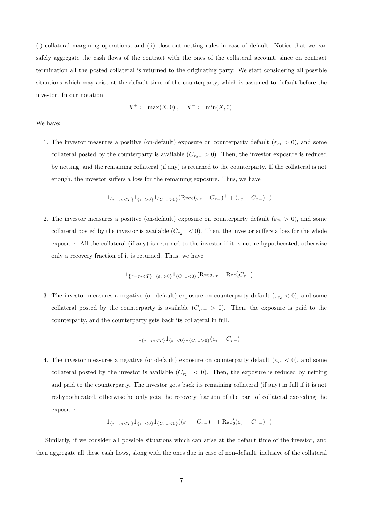(i) collateral margining operations, and (ii) close-out netting rules in case of default. Notice that we can safely aggregate the cash flows of the contract with the ones of the collateral account, since on contract termination all the posted collateral is returned to the originating party. We start considering all possible situations which may arise at the default time of the counterparty, which is assumed to default before the investor. In our notation

$$
X^+ := \max(X, 0) , \quad X^- := \min(X, 0) .
$$

We have:

1. The investor measures a positive (on-default) exposure on counterparty default ( $\varepsilon_{\tau_2} > 0$ ), and some collateral posted by the counterparty is available  $(C_{\tau_2} > 0)$ . Then, the investor exposure is reduced by netting, and the remaining collateral (if any) is returned to the counterparty. If the collateral is not enough, the investor suffers a loss for the remaining exposure. Thus, we have

$$
1_{\{\tau=\tau_20\}}1_{\{C_{\tau-}>0\}}(R_{\text{EC2}}(\varepsilon_{\tau}-C_{\tau-})^{+}+(\varepsilon_{\tau}-C_{\tau-})^{-})
$$

2. The investor measures a positive (on-default) exposure on counterparty default ( $\varepsilon_{\tau_2} > 0$ ), and some collateral posted by the investor is available ( $C_{\tau_2-}$  < 0). Then, the investor suffers a loss for the whole exposure. All the collateral (if any) is returned to the investor if it is not re-hypothecated, otherwise only a recovery fraction of it is returned. Thus, we have

$$
1_{\{\tau=\tau_20\}}1_{\{C_{\tau-}<0\}}(\text{Rec}_2\varepsilon_\tau-\text{Rec}_2'C_{\tau-})
$$

3. The investor measures a negative (on-default) exposure on counterparty default ( $\varepsilon_{\tau_2}$  < 0), and some collateral posted by the counterparty is available  $(C_{\tau_2-} > 0)$ . Then, the exposure is paid to the counterparty, and the counterparty gets back its collateral in full.

$$
1_{\{\tau=\tau_20\}} (\varepsilon_{\tau}-C_{\tau-})
$$

4. The investor measures a negative (on-default) exposure on counterparty default ( $\varepsilon_{\tau_2}$  < 0), and some collateral posted by the investor is available  $(C_{\tau_2-} < 0)$ . Then, the exposure is reduced by netting and paid to the counterparty. The investor gets back its remaining collateral (if any) in full if it is not re-hypothecated, otherwise he only gets the recovery fraction of the part of collateral exceeding the exposure.

$$
1_{\{\tau=\tau_2
$$

Similarly, if we consider all possible situations which can arise at the default time of the investor, and then aggregate all these cash flows, along with the ones due in case of non-default, inclusive of the collateral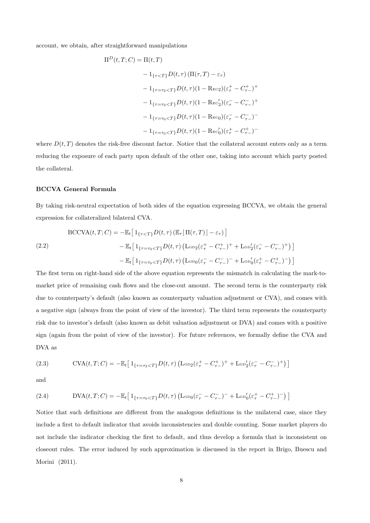account, we obtain, after straightforward manipulations

$$
\Pi^{D}(t, T; C) = \Pi(t, T)
$$
  
\n
$$
- 1_{\{\tau < T\}} D(t, \tau) (\Pi(\tau, T) - \varepsilon_{\tau})
$$
  
\n
$$
- 1_{\{\tau = \tau_{2} < T\}} D(t, \tau) (1 - \text{Rec}_{2}) (\varepsilon_{\tau}^{+} - C_{\tau-}^{+})^{+}
$$
  
\n
$$
- 1_{\{\tau = \tau_{2} < T\}} D(t, \tau) (1 - \text{Rec}_{2}) (\varepsilon_{\tau}^{-} - C_{\tau-}^{-})^{+}
$$
  
\n
$$
- 1_{\{\tau = \tau_{0} < T\}} D(t, \tau) (1 - \text{Rec}_{0}) (\varepsilon_{\tau}^{-} - C_{\tau-}^{-})^{-}
$$
  
\n
$$
- 1_{\{\tau = \tau_{0} < T\}} D(t, \tau) (1 - \text{Rec}_{0}) (\varepsilon_{\tau}^{+} - C_{\tau-}^{+})^{-}
$$

where  $D(t, T)$  denotes the risk-free discount factor. Notice that the collateral account enters only as a term reducing the exposure of each party upon default of the other one, taking into account which party posted the collateral.

#### **BCCVA General Formula**

By taking risk-neutral expectation of both sides of the equation expressing BCCVA, we obtain the general expression for collateralized bilateral CVA.

(2.2)  
\n
$$
\begin{aligned}\n\text{BCCVA}(t, T; C) &= -\mathbb{E}_t \big[ \mathbb{1}_{\{\tau < T\}} D(t, \tau) \left( \mathbb{E}_\tau [\Pi(\tau, T)] - \varepsilon_\tau \right) \big] \\
&\quad - \mathbb{E}_t \big[ \mathbb{1}_{\{\tau = \tau_2 < T\}} D(t, \tau) \left( \text{Lop}_2(\varepsilon_\tau^+ - C_{\tau-}^+) + \text{Lop}_2'(\varepsilon_\tau^- - C_{\tau-}^-) \right) \big] \\
&\quad - \mathbb{E}_t \big[ \mathbb{1}_{\{\tau = \tau_0 < T\}} D(t, \tau) \left( \text{Lop}_0(\varepsilon_\tau^- - C_{\tau-}^-) - \text{Lop}_0'(\varepsilon_\tau^+ - C_{\tau-}^+) \right) \big] \n\end{aligned}
$$

The first term on right-hand side of the above equation represents the mismatch in calculating the mark-tomarket price of remaining cash flows and the close-out amount. The second term is the counterparty risk due to counterparty's default (also known as counterparty valuation adjustment or CVA), and comes with a negative sign (always from the point of view of the investor). The third term represents the counterparty risk due to investor's default (also known as debit valuation adjustment or DVA) and comes with a positive sign (again from the point of view of the investor). For future references, we formally define the CVA and DVA as

(2.3) 
$$
\text{CVA}(t, T; C) = -\mathbb{E}_t \left[ 1_{\{\tau = \tau_2 < T\}} D(t, \tau) \left( \text{Lop}_2(\varepsilon^+_{\tau} - C^+_{\tau-})^+ + \text{Lop}_2'(\varepsilon^-_{\tau} - C^-_{\tau-})^+ \right) \right]
$$

and

(2.4) 
$$
DVA(t, T; C) = -\mathbb{E}_t \left[ 1_{\{\tau = \tau_0 < T\}} D(t, \tau) \left( L_{GD}( \varepsilon^-_{\tau} - C^-_{\tau^-_{\tau-}} )^- + L_{GD}( \varepsilon^+_{\tau} - C^+_{\tau^-_{\tau-}} )^- \right) \right]
$$

Notice that such definitions are different from the analogous definitions in the unilateral case, since they include a first to default indicator that avoids inconsistencies and double counting. Some market players do not include the indicator checking the first to default, and thus develop a formula that is inconsistent on closeout rules. The error induced by such approximation is discussed in the report in Brigo, Buescu and Morini (2011).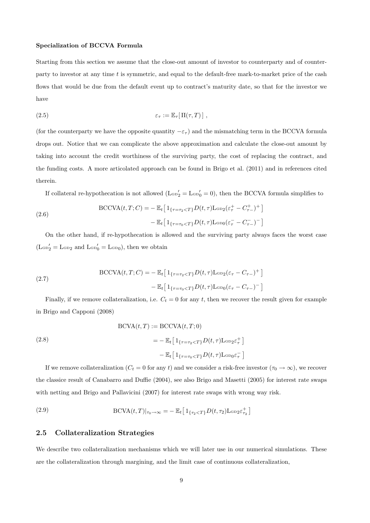#### **Specialization of BCCVA Formula**

Starting from this section we assume that the close-out amount of investor to counterparty and of counterparty to investor at any time *t* is symmetric, and equal to the default-free mark-to-market price of the cash flows that would be due from the default event up to contract's maturity date, so that for the investor we have

$$
\varepsilon_{\tau} := \mathbb{E}_{\tau}[\Pi(\tau, T)],
$$

(for the counterparty we have the opposite quantity  $-\varepsilon_{\tau}$ ) and the mismatching term in the BCCVA formula drops out. Notice that we can complicate the above approximation and calculate the close-out amount by taking into account the credit worthiness of the surviving party, the cost of replacing the contract, and the funding costs. A more articolated approach can be found in Brigo et al. (2011) and in references cited therein.

If collateral re-hypothecation is not allowed  $(L_{GD_2'} = L_{GD_0'} = 0)$ , then the BCCVA formula simplifies to

(2.6)  
\n
$$
\text{BCCVA}(t, T; C) = -\mathbb{E}_t \left[ 1_{\{\tau = \tau_2 < T\}} D(t, \tau) \text{Log}_2(\varepsilon_{\tau}^+ - C_{\tau-}^+)^\dagger \right] \\
-\mathbb{E}_t \left[ 1_{\{\tau = \tau_0 < T\}} D(t, \tau) \text{Log}_0(\varepsilon_{\tau}^- - C_{\tau-}^-)^\dagger \right]
$$

On the other hand, if re-hypothecation is allowed and the surviving party always faces the worst case  $(Lop_2' = Lop_2$  and  $Lop_0' = Lop_0$ ), then we obtain

(2.7)  
\n
$$
\text{BCCVA}(t, T; C) = -\mathbb{E}_t \left[ 1_{\{\tau = \tau_2 < T\}} D(t, \tau) \text{Lop}_2(\varepsilon_\tau - C_{\tau-})^+ \right] - \mathbb{E}_t \left[ 1_{\{\tau = \tau_0 < T\}} D(t, \tau) \text{Lop}_0(\varepsilon_\tau - C_{\tau-})^- \right]
$$

Finally, if we remove collateralization, i.e.  $C_t = 0$  for any  $t$ , then we recover the result given for example in Brigo and Capponi (2008)

(2.8)  
\n
$$
BCVA(t, T) := BCCVA(t, T; 0)
$$
\n
$$
= - \mathbb{E}_t \left[ 1_{\{\tau = \tau_2 < T\}} D(t, \tau) L_{GD2} \varepsilon_{\tau}^+ \right]
$$
\n
$$
- \mathbb{E}_t \left[ 1_{\{\tau = \tau_0 < T\}} D(t, \tau) L_{GD0} \varepsilon_{\tau}^- \right]
$$

If we remove collateralization ( $C_t = 0$  for any *t*) and we consider a risk-free investor ( $\tau_0 \to \infty$ ), we recover the classice result of Canabarro and Duffie (2004), see also Brigo and Masetti (2005) for interest rate swaps with netting and Brigo and Pallavicini (2007) for interest rate swaps with wrong way risk.

(2.9) 
$$
\text{BCVA}(t,T)|_{\tau_0 \to \infty} = -\mathbb{E}_t \left[ 1_{\{\tau_2 < T\}} D(t,\tau_2) L_{\text{GD}_2 \varepsilon_{\tau_2}^+} \right]
$$

### **2.5 Collateralization Strategies**

We describe two collateralization mechanisms which we will later use in our numerical simulations. These are the collateralization through margining, and the limit case of continuous collateralization,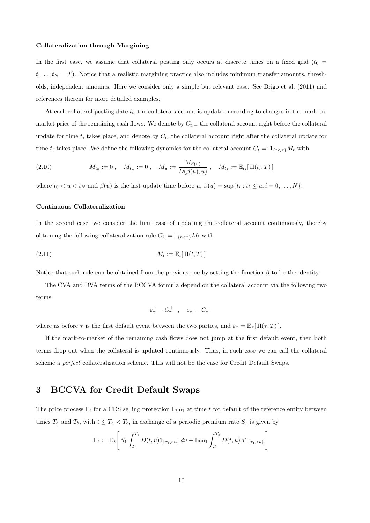#### **Collateralization through Margining**

In the first case, we assume that collateral posting only occurs at discrete times on a fixed grid  $(t_0 =$  $t, \ldots, t_N = T$ ). Notice that a realistic margining practice also includes minimum transfer amounts, thresholds, independent amounts. Here we consider only a simple but relevant case. See Brigo et al. (2011) and references therein for more detailed examples.

At each collateral posting date  $t_i$ , the collateral account is updated according to changes in the mark-tomarket price of the remaining cash flows. We denote by  $C_{t_i-}$  the collateral account right before the collateral update for time  $t_i$  takes place, and denote by  $C_{t_i}$  the collateral account right after the collateral update for time  $t_i$  takes place. We define the following dynamics for the collateral account  $C_t =: 1_{\{t < \tau\}} M_t$  with

(2.10) 
$$
M_{t_0} := 0 \ , \quad M_{t_n} := 0 \ , \quad M_u := \frac{M_{\beta(u)}}{D(\beta(u), u)} \ , \quad M_{t_i} := \mathbb{E}_{t_i}[\Pi(t_i, T)]
$$

where  $t_0 < u < t_N$  and  $\beta(u)$  is the last update time before  $u, \beta(u) = \sup\{t_i : t_i \leq u, i = 0, \ldots, N\}.$ 

#### **Continuous Collateralization**

In the second case, we consider the limit case of updating the collateral account continuously, thereby obtaining the following collateralization rule  $C_t := 1_{\{t < \tau\}} M_t$  with

$$
(2.11) \t\t M_t := \mathbb{E}_t[\Pi(t,T)]
$$

Notice that such rule can be obtained from the previous one by setting the function  $\beta$  to be the identity.

The CVA and DVA terms of the BCCVA formula depend on the collateral account via the following two terms

$$
\varepsilon_{\tau}^+ - C_{\tau-}^+ \ , \quad \varepsilon_{\tau}^- - C_{\tau-}^-
$$

where as before  $\tau$  is the first default event between the two parties, and  $\varepsilon_{\tau} = \mathbb{E}_{\tau}[\Pi(\tau, T)].$ 

If the mark-to-market of the remaining cash flows does not jump at the first default event, then both terms drop out when the collateral is updated continuously. Thus, in such case we can call the collateral scheme a *perfect* collateralization scheme. This will not be the case for Credit Default Swaps.

## **3 BCCVA for Credit Default Swaps**

The price process  $\Gamma_t$  for a CDS selling protection L<sub>GD1</sub> at time t for default of the reference entity between times  $T_a$  and  $T_b$ , with  $t \leq T_a < T_b$ , in exchange of a periodic premium rate  $S_1$  is given by

$$
\Gamma_t := \mathbb{E}_t \left[ S_1 \int_{T_a}^{T_b} D(t, u) 1_{\{\tau_1 > u\}} du + \text{Lop}_1 \int_{T_a}^{T_b} D(t, u) d1_{\{\tau_1 > u\}} \right]
$$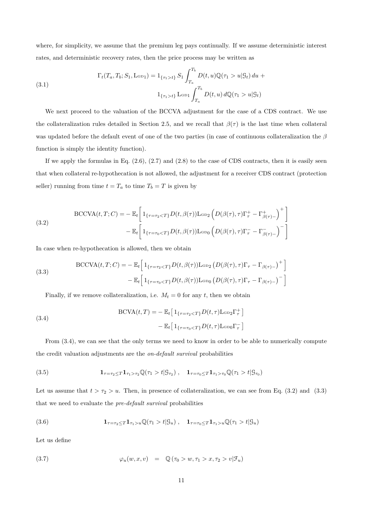where, for simplicity, we assume that the premium leg pays continually. If we assume deterministic interest rates, and deterministic recovery rates, then the price process may be written as

(3.1) 
$$
\Gamma_t(T_a, T_b; S_1, \text{Lop}_1) = 1_{\{\tau_1 > t\}} S_1 \int_{T_a}^{T_b} D(t, u) \mathbb{Q}(\tau_1 > u | \mathcal{G}_t) du + 1_{\{\tau_1 > t\}} \text{Lop}_1 \int_{T_a}^{T_b} D(t, u) d\mathbb{Q}(\tau_1 > u | \mathcal{G}_t)
$$

We next proceed to the valuation of the BCCVA adjustment for the case of a CDS contract. We use the collateralization rules detailed in Section 2.5, and we recall that  $\beta(\tau)$  is the last time when collateral was updated before the default event of one of the two parties (in case of continuous collateralization the *β* function is simply the identity function).

If we apply the formulas in Eq.  $(2.6)$ ,  $(2.7)$  and  $(2.8)$  to the case of CDS contracts, then it is easily seen that when collateral re-hypothecation is not allowed, the adjustment for a receiver CDS contract (protection seller) running from time  $t = T_a$  to time  $T_b = T$  is given by

(3.2)  
\n
$$
\text{BCCVA}(t, T; C) = -\mathbb{E}_t \bigg[ 1_{\{\tau = \tau_2 < T\}} D(t, \beta(\tau)) \text{Lop}_2 \left( D(\beta(\tau), \tau) \Gamma_\tau^+ - \Gamma_{\beta(\tau)-}^+ \right)^+ \bigg] - \mathbb{E}_t \bigg[ 1_{\{\tau = \tau_0 < T\}} D(t, \beta(\tau)) \text{Lop}_0 \left( D(\beta(\tau), \tau) \Gamma_\tau^- - \Gamma_{\beta(\tau)-}^- \right)^- \bigg]
$$

In case when re-hypothecation is allowed, then we obtain

(3.3)  
\n
$$
\text{BCCVA}(t, T; C) = -\mathbb{E}_t \Big[ 1_{\{\tau = \tau_2 < T\}} D(t, \beta(\tau)) \text{Lop}_2 \left( D(\beta(\tau), \tau) \Gamma_\tau - \Gamma_{\beta(\tau)-} \right)^+ \Big] - \mathbb{E}_t \Big[ 1_{\{\tau = \tau_0 < T\}} D(t, \beta(\tau)) \text{Lop}_0 \left( D(\beta(\tau), \tau) \Gamma_\tau - \Gamma_{\beta(\tau)-} \right)^- \Big]
$$

Finally, if we remove collateralization, i.e.  $M_t = 0$  for any  $t$ , then we obtain

(3.4)  
\n
$$
BCVA(t,T) = - \mathbb{E}_t \left[ 1_{\{\tau = \tau_2 < T\}} D(t,\tau) L_{GD2} \Gamma_\tau^+ \right] \\
 - \mathbb{E}_t \left[ 1_{\{\tau = \tau_0 < T\}} D(t,\tau) L_{GD0} \Gamma_\tau^- \right]
$$

From (3.4), we can see that the only terms we need to know in order to be able to numerically compute the credit valuation adjustments are the *on-default survival* probabilities

(3.5) 
$$
\mathbf{1}_{\tau=\tau_2\leq T}\mathbf{1}_{\tau_1>\tau_2}\mathbb{Q}(\tau_1>t|\mathcal{G}_{\tau_2}), \quad \mathbf{1}_{\tau=\tau_0\leq T}\mathbf{1}_{\tau_1>\tau_0}\mathbb{Q}(\tau_1>t|\mathcal{G}_{\tau_0})
$$

Let us assume that  $t > \tau_2 > u$ . Then, in presence of collateralization, we can see from Eq. (3.2) and (3.3) that we need to evaluate the *pre-default survival* probabilities

(3.6) 
$$
\mathbf{1}_{\tau=\tau_2\leq T}\mathbf{1}_{\tau_1>u}\mathbb{Q}(\tau_1>t|\mathcal{G}_u), \quad \mathbf{1}_{\tau=\tau_0\leq T}\mathbf{1}_{\tau_1>u}\mathbb{Q}(\tau_1>t|\mathcal{G}_u)
$$

Let us define

(3.7) 
$$
\varphi_u(w, x, v) = \mathbb{Q}(\tau_0 > w, \tau_1 > x, \tau_2 > v | \mathcal{F}_u)
$$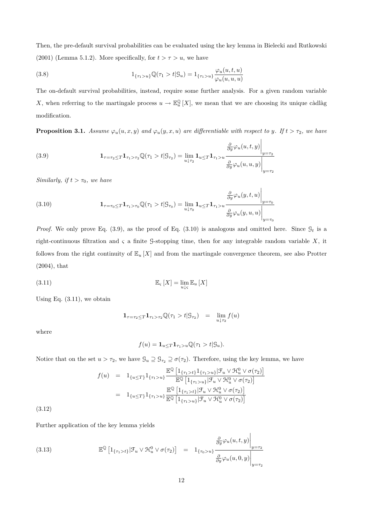Then, the pre-default survival probabilities can be evaluated using the key lemma in Bielecki and Rutkowski (2001) (Lemma 5.1.2). More specifically, for  $t > \tau > u$ , we have

(3.8) 
$$
1_{\{\tau_1 > u\}} \mathbb{Q}(\tau_1 > t | \mathcal{G}_u) = 1_{\{\tau_1 > u\}} \frac{\varphi_u(u, t, u)}{\varphi_u(u, u, u)}
$$

The on-default survival probabilities, instead, require some further analysis. For a given random variable X, when referring to the martingale process  $u \to \mathbb{E}_u^{\mathbb{Q}}[X]$ , we mean that we are choosing its unique càdlàg modification.

**Proposition 3.1.** *Assume*  $\varphi_u(u, x, y)$  *and*  $\varphi_u(y, x, u)$  *are differentiable with respect to y. If*  $t > \tau_2$ *, we have* 

l,

(3.9) 
$$
\mathbf{1}_{\tau=\tau_2\leq T}\mathbf{1}_{\tau_1>\tau_2}\mathbb{Q}(\tau_1>t|\mathcal{G}_{\tau_2})=\lim_{u\downarrow\tau_2}\mathbf{1}_{u\leq T}\mathbf{1}_{\tau_1>u}\frac{\frac{\partial}{\partial y}\varphi_u(u,t,y)|_{y=\tau_2}}{\frac{\partial}{\partial y}\varphi_u(u,u,y)|_{y=\tau_2}}
$$

*Similarly, if*  $t > \tau_0$ *, we have* 

(3.10) 
$$
\mathbf{1}_{\tau=\tau_0\leq T}\mathbf{1}_{\tau_1>\tau_0}\mathbb{Q}(\tau_1>t|\mathcal{G}_{\tau_0})=\lim_{u\downarrow\tau_0}\mathbf{1}_{u\leq T}\mathbf{1}_{\tau_1>u}\frac{\frac{\partial}{\partial y}\varphi_u(y,t,u)}{\frac{\partial}{\partial y}\varphi_u(y,u,u)}\Big|_{y=\tau_0}
$$

*Proof.* We only prove Eq.  $(3.9)$ , as the proof of Eq.  $(3.10)$  is analogous and omitted here. Since  $\mathcal{G}_t$  is a right-continuous filtration and  $\varsigma$  a finite G-stopping time, then for any integrable random variable  $X$ , it follows from the right continuity of E*<sup>u</sup>* [*X*] and from the martingale convergence theorem, see also Protter (2004), that

(3.11) 
$$
\mathbb{E}_{\varsigma}[X] = \lim_{u \downarrow \varsigma} \mathbb{E}_{u}[X]
$$

Using Eq. (3.11), we obtain

$$
\mathbf{1}_{\tau=\tau_2 \leq T} \mathbf{1}_{\tau_1 > \tau_2} \mathbb{Q}(\tau_1 > t | \mathcal{G}_{\tau_2}) = \lim_{u \downarrow \tau_2} f(u)
$$

where

$$
f(u) = \mathbf{1}_{u \leq T} \mathbf{1}_{\tau_1 > u} \mathbb{Q}(\tau_1 > t | \mathcal{G}_u).
$$

Notice that on the set  $u > \tau_2$ , we have  $\mathcal{G}_u \supseteq \mathcal{G}_{\tau_2} \supseteq \sigma(\tau_2)$ . Therefore, using the key lemma, we have

$$
f(u) = 1_{\{u \leq T\}} 1_{\{\tau_1 > u\}} \frac{\mathbb{E}^{\mathbb{Q}} \left[ 1_{\{\tau_1 > t\}} 1_{\{\tau_1 > u\}} | \mathcal{F}_u \vee \mathcal{H}_u^0 \vee \sigma(\tau_2) \right]}{\mathbb{E}^{\mathbb{Q}} \left[ 1_{\{\tau_1 > u\}} | \mathcal{F}_u \vee \mathcal{H}_u^0 \vee \sigma(\tau_2) \right]}
$$
  

$$
= 1_{\{u \leq T\}} 1_{\{\tau_1 > u\}} \frac{\mathbb{E}^{\mathbb{Q}} \left[ 1_{\{\tau_1 > t\}} | \mathcal{F}_u \vee \mathcal{H}_u^0 \vee \sigma(\tau_2) \right]}{\mathbb{E}^{\mathbb{Q}} \left[ 1_{\{\tau_1 > u\}} | \mathcal{F}_u \vee \mathcal{H}_u^0 \vee \sigma(\tau_2) \right]}
$$

(3.12)

Further application of the key lemma yields

(3.13) 
$$
\mathbb{E}^{\mathbb{Q}}\left[1_{\{\tau_1 > t\}}|\mathcal{F}_u \vee \mathcal{H}_u^0 \vee \sigma(\tau_2)\right] = 1_{\{\tau_0 > u\}} \frac{\frac{\partial}{\partial y}\varphi_u(u,t,y)}{\frac{\partial}{\partial y}\varphi_u(u,0,y)}\Big|_{y=\tau_2}
$$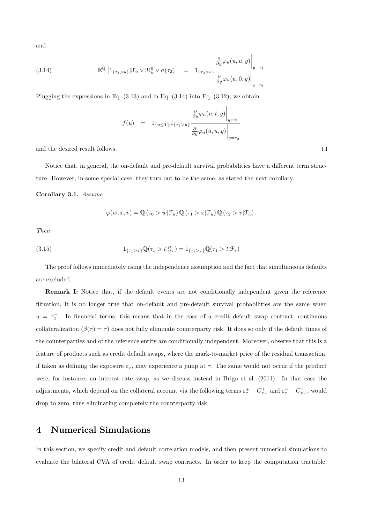and

(3.14) 
$$
\mathbb{E}^{\mathbb{Q}}\left[1_{\{\tau_1>u\}}|\mathcal{F}_u\vee\mathcal{H}_u^0\vee\sigma(\tau_2)\right] = 1_{\{\tau_0>u\}}\frac{\frac{\partial}{\partial y}\varphi_u(u,u,y)}{\frac{\partial}{\partial y}\varphi_u(u,0,y)}\Big|_{y=\tau_2}
$$

Plugging the expressions in Eq.  $(3.13)$  and in Eq.  $(3.14)$  into Eq.  $(3.12)$ , we obtain

$$
f(u) = 1_{\{u \le T\}} 1_{\{\tau_1 > u\}} \frac{\frac{\partial}{\partial y} \varphi_u(u, t, y) \Big|_{y=\tau_2}}{\frac{\partial}{\partial y} \varphi_u(u, u, y) \Big|_{y=\tau_2}}
$$

l,

and the desired result follows.

Notice that, in general, the on-default and pre-default survival probabilities have a different term structure. However, in some special case, they turn out to be the same, as stated the next corollary.

**Corollary 3.1.** *Assume*

$$
\varphi(w, x, v) = \mathbb{Q}(\tau_0 > w | \mathcal{F}_u) \mathbb{Q}(\tau_1 > x | \mathcal{F}_u) \mathbb{Q}(\tau_2 > v | \mathcal{F}_u).
$$

*Then*

(3.15) 
$$
1_{\{\tau_1 > \tau\}} \mathbb{Q}(\tau_1 > t | \mathcal{G}_{\tau}) = 1_{\{\tau_1 > \tau\}} \mathbb{Q}(\tau_1 > t | \mathcal{F}_{\tau})
$$

The proof follows immediately using the independence assumption and the fact that simultaneous defaults are excluded.

**Remark I:** Notice that, if the default events are not conditionally independent given the reference filtration, it is no longer true that on-default and pre-default survival probabilities are the same when  $u = \tau_2^-$ . In financial terms, this means that in the case of a credit default swap contract, continuous collateralization  $(\beta(\tau) = \tau)$  does not fully eliminate counterparty risk. It does so only if the default times of the counterparties and of the reference entity are conditionally independent. Moreover, observe that this is a feature of products such as credit default swaps, where the mark-to-market price of the residual transaction, if taken as defining the exposure  $\varepsilon_{\tau}$ , may experience a jump at  $\tau$ . The same would not occur if the product were, for instance, an interest rate swap, as we discuss instead in Brigo et al. (2011). In that case the adjustments, which depend on the collateral account via the following terms  $\varepsilon^+_7 - C^+_{7-}$  and  $\varepsilon^-_7 - C^-_{7-}$ , would drop to zero, thus eliminating completely the counterparty risk.

## **4 Numerical Simulations**

In this section, we specify credit and default correlation models, and then present numerical simulations to evaluate the bilateral CVA of credit default swap contracts. In order to keep the computation tractable,

 $\Box$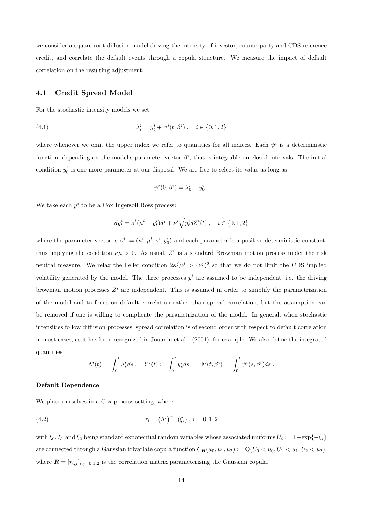we consider a square root diffusion model driving the intensity of investor, counterparty and CDS reference credit, and correlate the default events through a copula structure. We measure the impact of default correlation on the resulting adjustment.

#### **4.1 Credit Spread Model**

For the stochastic intensity models we set

(4.1) 
$$
\lambda_t^i = y_t^i + \psi^i(t; \beta^i) , \quad i \in \{0, 1, 2\}
$$

where whenever we omit the upper index we refer to quantities for all indices. Each  $\psi^i$  is a deterministic function, depending on the model's parameter vector  $\beta^i$ , that is integrable on closed intervals. The initial condition  $y_0^i$  is one more parameter at our disposal. We are free to select its value as long as

$$
\psi^i(0;\beta^i) = \lambda_0^i - y_0^i.
$$

We take each  $y^i$  to be a Cox Ingersoll Ross process:

$$
dy_t^i = \kappa^i (\mu^i - y_t^i) dt + \nu^i \sqrt{y_t^i} dZ^i(t) , \quad i \in \{0, 1, 2\}
$$

where the parameter vector is  $\beta^i := (\kappa^i, \mu^i, \nu^i, y_0^i)$  and each parameter is a positive deterministic constant, thus implying the condition  $\kappa \mu > 0$ . As usual,  $Z^i$  is a standard Brownian motion process under the risk neutral measure. We relax the Feller condition  $2\kappa^j\mu^j > (\nu^j)^2$  so that we do not limit the CDS implied volatility generated by the model. The three processes  $y^i$  are assumed to be independent, i.e. the driving brownian motion processes  $Z<sup>i</sup>$  are independent. This is assumed in order to simplify the parametrization of the model and to focus on default correlation rather than spread correlation, but the assumption can be removed if one is willing to complicate the parametrization of the model. In general, when stochastic intensities follow diffusion processes, spread correlation is of second order with respect to default correlation in most cases, as it has been recognized in Jouanin et al. (2001), for example. We also define the integrated quantities

$$
\Lambda^i(t):=\int_0^t\lambda^i_sds\;,\quad Y^i(t):=\int_0^ty^i_sds\;,\quad\Psi^i(t,\beta^i):=\int_0^t\psi^i(s,\beta^i)ds\;.
$$

#### **Default Dependence**

We place ourselves in a Cox process setting, where

(4.2) 
$$
\tau_i = (\Lambda^i)^{-1} (\xi_i), i = 0, 1, 2
$$

with  $\xi_0$ ,  $\xi_1$  and  $\xi_2$  being standard exponential random variables whose associated uniforms  $U_i := 1 - \exp\{-\xi_i\}$ are connected through a Gaussian trivariate copula function  $C_R(u_0, u_1, u_2) := \mathbb{Q}(U_0 < u_0, U_1 < u_1, U_2 < u_2)$ , where  $\mathbf{R} = [r_{i,j}]_{i,j=0,1,2}$  is the correlation matrix parameterizing the Gaussian copula.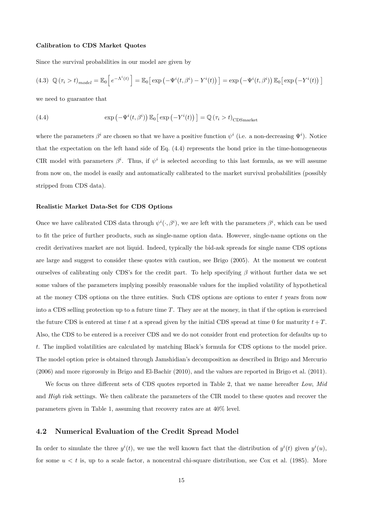#### **Calibration to CDS Market Quotes**

Since the survival probabilities in our model are given by

$$
(4.3) \mathbb{Q}(\tau_i > t)_{model} = \mathbb{E}_0\Big[e^{-\Lambda^i(t)}\Big] = \mathbb{E}_0\big[\exp\left(-\Psi^i(t,\beta^i) - Y^i(t)\right)\big] = \exp\left(-\Psi^i(t,\beta^i)\right)\mathbb{E}_0\big[\exp\left(-Y^i(t)\right)\big]
$$

we need to guarantee that

(4.4) 
$$
\exp\left(-\Psi^{i}(t,\beta^{i})\right)\mathbb{E}_{0}\left[\exp\left(-Y^{i}(t)\right)\right]=\mathbb{Q}\left(\tau_{i}>t\right)_{\text{CDSmarket}}
$$

where the parameters  $\beta^i$  are chosen so that we have a positive function  $\psi^i$  (i.e. a non-decreasing  $\Psi^i$ ). Notice that the expectation on the left hand side of Eq. (4.4) represents the bond price in the time-homogeneous CIR model with parameters  $\beta^i$ . Thus, if  $\psi^i$  is selected according to this last formula, as we will assume from now on, the model is easily and automatically calibrated to the market survival probabilities (possibly stripped from CDS data).

#### **Realistic Market Data-Set for CDS Options**

Once we have calibrated CDS data through  $\psi^i(\cdot,\beta^i)$ , we are left with the parameters  $\beta^i$ , which can be used to fit the price of further products, such as single-name option data. However, single-name options on the credit derivatives market are not liquid. Indeed, typically the bid-ask spreads for single name CDS options are large and suggest to consider these quotes with caution, see Brigo (2005). At the moment we content ourselves of calibrating only CDS's for the credit part. To help specifying *β* without further data we set some values of the parameters implying possibly reasonable values for the implied volatility of hypothetical at the money CDS options on the three entities. Such CDS options are options to enter *t* years from now into a CDS selling protection up to a future time *T*. They are at the money, in that if the option is exercised the future CDS is entered at time  $t$  at a spread given by the initial CDS spread at time 0 for maturity  $t + T$ . Also, the CDS to be entered is a receiver CDS and we do not consider front end protection for defaults up to *t*. The implied volatilities are calculated by matching Black's formula for CDS options to the model price. The model option price is obtained through Jamshidian's decomposition as described in Brigo and Mercurio (2006) and more rigorosuly in Brigo and El-Bachir (2010), and the values are reported in Brigo et al. (2011).

We focus on three different sets of CDS quotes reported in Table 2, that we name hereafter *Low*, *Mid* and *High* risk settings. We then calibrate the parameters of the CIR model to these quotes and recover the parameters given in Table 1, assuming that recovery rates are at 40% level.

#### **4.2 Numerical Evaluation of the Credit Spread Model**

In order to simulate the three  $y^{i}(t)$ , we use the well known fact that the distribution of  $y^{i}(t)$  given  $y^{i}(u)$ , for some  $u < t$  is, up to a scale factor, a noncentral chi-square distribution, see Cox et al. (1985). More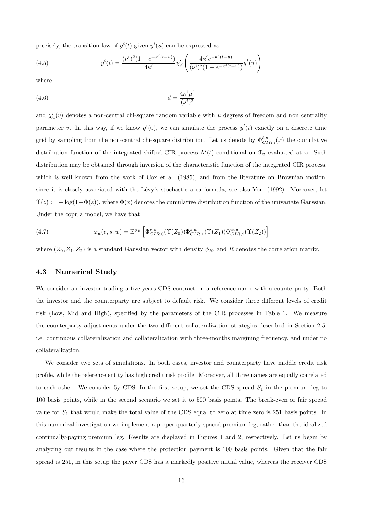precisely, the transition law of  $y^i(t)$  given  $y^i(u)$  can be expressed as

(4.5) 
$$
y^{i}(t) = \frac{(\nu^{i})^{2} (1 - e^{-\kappa^{i}(t-u)})}{4\kappa^{i}} \chi'_{d} \left( \frac{4\kappa^{i} e^{-\kappa^{i}(t-u)}}{(\nu^{i})^{2} (1 - e^{-\kappa^{i}(t-u)})} y^{i}(u) \right)
$$

where

(4.6) 
$$
d = \frac{4\kappa^i \mu^i}{(\nu^i)^2}
$$

and  $\chi'_u(v)$  denotes a non-central chi-square random variable with *u* degrees of freedom and non centrality parameter *v*. In this way, if we know  $y^i(0)$ , we can simulate the process  $y^i(t)$  exactly on a discrete time grid by sampling from the non-central chi-square distribution. Let us denote by  $\Phi_{CIR,i}^{t,u}(x)$  the cumulative distribution function of the integrated shifted CIR process  $\Lambda^{i}(t)$  conditional on  $\mathcal{F}_{u}$  evaluated at *x*. Such distribution may be obtained through inversion of the characteristic function of the integrated CIR process, which is well known from the work of Cox et al. (1985), and from the literature on Brownian motion, since it is closely associated with the Lévy's stochastic area formula, see also Yor (1992). Moreover, let  $\Upsilon(z) := -\log(1-\Phi(z))$ , where  $\Phi(x)$  denotes the cumulative distribution function of the univariate Gaussian. Under the copula model, we have that

(4.7) 
$$
\varphi_u(v,s,w) = \mathbb{E}^{\phi_R} \left[ \Phi_{CIR,0}^{v,u}(\Upsilon(Z_0)) \Phi_{CIR,1}^{s,u}(\Upsilon(Z_1)) \Phi_{CIR,2}^{w,u}(\Upsilon(Z_2)) \right]
$$

where  $(Z_0, Z_1, Z_2)$  is a standard Gaussian vector with density  $\phi_R$ , and *R* denotes the correlation matrix.

#### **4.3 Numerical Study**

We consider an investor trading a five-years CDS contract on a reference name with a counterparty. Both the investor and the counterparty are subject to default risk. We consider three different levels of credit risk (Low, Mid and High), specified by the parameters of the CIR processes in Table 1. We measure the counterparty adjustments under the two different collateralization strategies described in Section 2.5, i.e. continuous collateralization and collateralization with three-months margining frequency, and under no collateralization.

We consider two sets of simulations. In both cases, investor and counterparty have middle credit risk profile, while the reference entity has high credit risk profile. Moreover, all three names are equally correlated to each other. We consider 5y CDS. In the first setup, we set the CDS spread *S*<sup>1</sup> in the premium leg to 100 basis points, while in the second scenario we set it to 500 basis points. The break-even or fair spread value for *S*<sup>1</sup> that would make the total value of the CDS equal to zero at time zero is 251 basis points. In this numerical investigation we implement a proper quarterly spaced premium leg, rather than the idealized continually-paying premium leg. Results are displayed in Figures 1 and 2, respectively. Let us begin by analyzing our results in the case where the protection payment is 100 basis points. Given that the fair spread is 251, in this setup the payer CDS has a markedly positive initial value, whereas the receiver CDS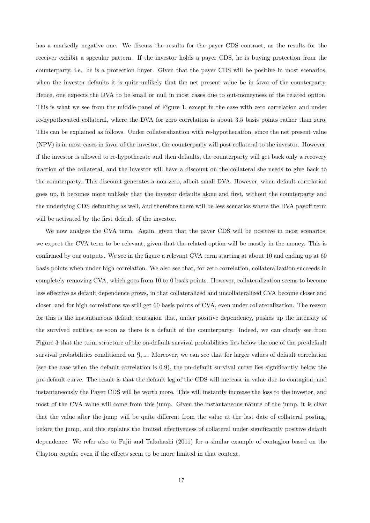has a markedly negative one. We discuss the results for the payer CDS contract, as the results for the receiver exhibit a specular pattern. If the investor holds a payer CDS, he is buying protection from the counterparty, i.e. he is a protection buyer. Given that the payer CDS will be positive in most scenarios, when the investor defaults it is quite unlikely that the net present value be in favor of the counterparty. Hence, one expects the DVA to be small or null in most cases due to out-moneyness of the related option. This is what we see from the middle panel of Figure 1, except in the case with zero correlation and under re-hypothecated collateral, where the DVA for zero correlation is about 3.5 basis points rather than zero. This can be explained as follows. Under collateralization with re-hypothecation, since the net present value (NPV) is in most cases in favor of the investor, the counterparty will post collateral to the investor. However, if the investor is allowed to re-hypothecate and then defaults, the counterparty will get back only a recovery fraction of the collateral, and the investor will have a discount on the collateral she needs to give back to the counterparty. This discount generates a non-zero, albeit small DVA. However, when default correlation goes up, it becomes more unlikely that the investor defaults alone and first, without the counterparty and the underlying CDS defaulting as well, and therefore there will be less scenarios where the DVA payoff term will be activated by the first default of the investor.

We now analyze the CVA term. Again, given that the payer CDS will be positive in most scenarios, we expect the CVA term to be relevant, given that the related option will be mostly in the money. This is confirmed by our outputs. We see in the figure a relevant CVA term starting at about 10 and ending up at 60 basis points when under high correlation. We also see that, for zero correlation, collateralization succeeds in completely removing CVA, which goes from 10 to 0 basis points. However, collateralization seems to become less effective as default dependence grows, in that collateralized and uncollateralized CVA become closer and closer, and for high correlations we still get 60 basis points of CVA, even under collateralization. The reason for this is the instantaneous default contagion that, under positive dependency, pushes up the intensity of the survived entities, as soon as there is a default of the counterparty. Indeed, we can clearly see from Figure 3 that the term structure of the on-default survival probabilities lies below the one of the pre-default survival probabilities conditioned on G*τ*−. Moreover, we can see that for larger values of default correlation (see the case when the default correlation is 0.9), the on-default survival curve lies significantly below the pre-default curve. The result is that the default leg of the CDS will increase in value due to contagion, and instantaneously the Payer CDS will be worth more. This will instantly increase the loss to the investor, and most of the CVA value will come from this jump. Given the instantaneous nature of the jump, it is clear that the value after the jump will be quite different from the value at the last date of collateral posting, before the jump, and this explains the limited effectiveness of collateral under significantly positive default dependence. We refer also to Fujii and Takahashi (2011) for a similar example of contagion based on the Clayton copula, even if the effects seem to be more limited in that context.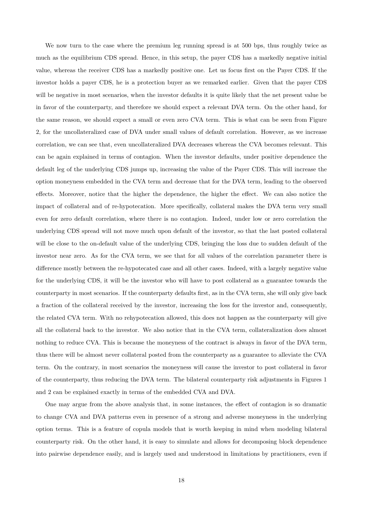We now turn to the case where the premium leg running spread is at 500 bps, thus roughly twice as much as the equilibrium CDS spread. Hence, in this setup, the payer CDS has a markedly negative initial value, whereas the receiver CDS has a markedly positive one. Let us focus first on the Payer CDS. If the investor holds a payer CDS, he is a protection buyer as we remarked earlier. Given that the payer CDS will be negative in most scenarios, when the investor defaults it is quite likely that the net present value be in favor of the counterparty, and therefore we should expect a relevant DVA term. On the other hand, for the same reason, we should expect a small or even zero CVA term. This is what can be seen from Figure 2, for the uncollateralized case of DVA under small values of default correlation. However, as we increase correlation, we can see that, even uncollateralized DVA decreases whereas the CVA becomes relevant. This can be again explained in terms of contagion. When the investor defaults, under positive dependence the default leg of the underlying CDS jumps up, increasing the value of the Payer CDS. This will increase the option moneyness embedded in the CVA term and decrease that for the DVA term, leading to the observed effects. Moreover, notice that the higher the dependence, the higher the effect. We can also notice the impact of collateral and of re-hypotecation. More specifically, collateral makes the DVA term very small even for zero default correlation, where there is no contagion. Indeed, under low or zero correlation the underlying CDS spread will not move much upon default of the investor, so that the last posted collateral will be close to the on-default value of the underlying CDS, bringing the loss due to sudden default of the investor near zero. As for the CVA term, we see that for all values of the correlation parameter there is difference mostly between the re-hypotecated case and all other cases. Indeed, with a largely negative value for the underlying CDS, it will be the investor who will have to post collateral as a guarantee towards the counterparty in most scenarios. If the counterparty defaults first, as in the CVA term, she will only give back a fraction of the collateral received by the investor, increasing the loss for the investor and, consequently, the related CVA term. With no rehypotecation allowed, this does not happen as the counterparty will give all the collateral back to the investor. We also notice that in the CVA term, collateralization does almost nothing to reduce CVA. This is because the moneyness of the contract is always in favor of the DVA term, thus there will be almost never collateral posted from the counterparty as a guarantee to alleviate the CVA term. On the contrary, in most scenarios the moneyness will cause the investor to post collateral in favor of the counterparty, thus reducing the DVA term. The bilateral counterparty risk adjustments in Figures 1 and 2 can be explained exactly in terms of the embedded CVA and DVA.

One may argue from the above analysis that, in some instances, the effect of contagion is so dramatic to change CVA and DVA patterns even in presence of a strong and adverse moneyness in the underlying option terms. This is a feature of copula models that is worth keeping in mind when modeling bilateral counterparty risk. On the other hand, it is easy to simulate and allows for decomposing block dependence into pairwise dependence easily, and is largely used and understood in limitations by practitioners, even if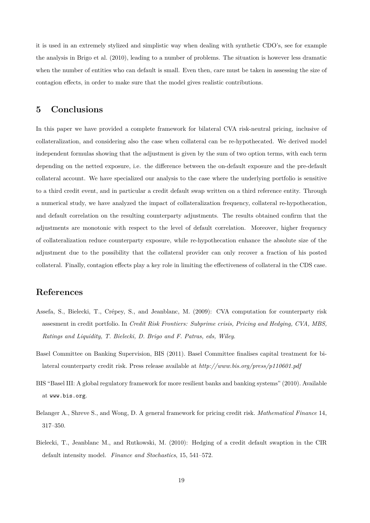it is used in an extremely stylized and simplistic way when dealing with synthetic CDO's, see for example the analysis in Brigo et al. (2010), leading to a number of problems. The situation is however less dramatic when the number of entities who can default is small. Even then, care must be taken in assessing the size of contagion effects, in order to make sure that the model gives realistic contributions.

# **5 Conclusions**

In this paper we have provided a complete framework for bilateral CVA risk-neutral pricing, inclusive of collateralization, and considering also the case when collateral can be re-hypothecated. We derived model independent formulas showing that the adjustment is given by the sum of two option terms, with each term depending on the netted exposure, i.e. the difference between the on-default exposure and the pre-default collateral account. We have specialized our analysis to the case where the underlying portfolio is sensitive to a third credit event, and in particular a credit default swap written on a third reference entity. Through a numerical study, we have analyzed the impact of collateralization frequency, collateral re-hypothecation, and default correlation on the resulting counterparty adjustments. The results obtained confirm that the adjustments are monotonic with respect to the level of default correlation. Moreover, higher frequency of collateralization reduce counterparty exposure, while re-hypothecation enhance the absolute size of the adjustment due to the possibility that the collateral provider can only recover a fraction of his posted collateral. Finally, contagion effects play a key role in limiting the effectiveness of collateral in the CDS case.

## **References**

- Assefa, S., Bielecki, T., Crépey, S., and Jeanblanc, M. (2009): CVA computation for counterparty risk assesment in credit portfolio. In *Credit Risk Frontiers: Subprime crisis, Pricing and Hedging, CVA, MBS, Ratings and Liquidity, T. Bielecki, D. Brigo and F. Patras, eds, Wiley*.
- Basel Committee on Banking Supervision, BIS (2011). Basel Committee finalises capital treatment for bilateral counterparty credit risk. Press release available at *http://www.bis.org/press/p110601.pdf*
- BIS "Basel III: A global regulatory framework for more resilient banks and banking systems" (2010). Available at www.bis.org.
- Belanger A., Shreve S., and Wong, D. A general framework for pricing credit risk. *Mathematical Finance* 14, 317–350.
- Bielecki, T., Jeanblanc M., and Rutkowski, M. (2010): Hedging of a credit default swaption in the CIR default intensity model. *Finance and Stochastics*, 15, 541–572.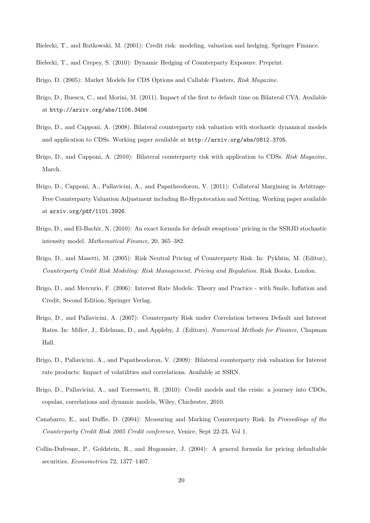- Bielecki, T., and Rutkowski, M. (2001): Credit risk: modeling, valuation and hedging. Springer Finance.
- Bielecki, T., and Crepey, S. (2010): Dynamic Hedging of Counterparty Exposure. Preprint.
- Brigo, D. (2005): Market Models for CDS Options and Callable Floaters, *Risk Magazine*.
- Brigo, D., Buescu, C., and Morini, M. (2011). Impact of the first to default time on Bilateral CVA. Available at http://arxiv.org/abs/1106.3496
- Brigo, D., and Capponi, A. (2008). Bilateral counterparty risk valuation with stochastic dynamical models and application to CDSs. Working paper available at http://arxiv.org/abs/0812.3705.
- Brigo, D., and Capponi, A. (2010): Bilateral counterparty risk with application to CDSs. *Risk Magazine*, March.
- Brigo, D., Capponi, A., Pallavicini, A., and Papatheodorou, V. (2011): Collateral Margining in Arbitrage-Free Counterparty Valuation Adjustment including Re-Hypotecation and Netting. Working paper available at arxiv.org/pdf/1101.3926.
- Brigo, D., and El-Bachir, N. (2010): An exact formula for default swaptions' pricing in the SSRJD stochastic intensity model. *Mathematical Finance*, 20, 365–382.
- Brigo, D., and Masetti, M. (2005): Risk Neutral Pricing of Counterparty Risk. In: Pykhtin, M. (Editor), *Counterparty Credit Risk Modeling: Risk Management, Pricing and Regulation*. Risk Books, London.
- Brigo, D., and Mercurio, F. (2006): Interest Rate Models: Theory and Practice with Smile, Inflation and Credit, Second Edition, Springer Verlag.
- Brigo, D., and Pallavicini, A. (2007): Counterparty Risk under Correlation between Default and Interest Rates. In: Miller, J., Edelman, D., and Appleby, J. (Editors). *Numerical Methods for Finance*, Chapman Hall.
- Brigo, D., Pallavicini, A., and Papatheodorou, V. (2009): Bilateral counterparty risk valuation for Interest rate products: Impact of volatilities and correlations. Available at SSRN.
- Brigo, D., Pallavicini, A., and Torressetti, R. (2010): Credit models and the crisis: a journey into CDOs, copulas, correlations and dynamic models, Wiley, Chichester, 2010.
- Canabarro, E., and Duffie, D. (2004): Measuring and Marking Counterparty Risk. In *Proceedings of the Counterparty Credit Risk 2005 Credit conference*, Venice, Sept 22-23, Vol 1.
- Collin-Dufresne, P., Goldstein, R., and Hugonnier, J. (2004): A general formula for pricing defaultable securities. *Econometrica* 72, 1377–1407.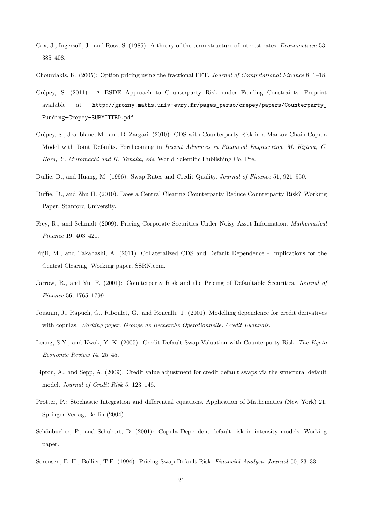- Cox, J., Ingersoll, J., and Ross, S. (1985): A theory of the term structure of interest rates. *Econometrica* 53, 385–408.
- Chourdakis, K. (2005): Option pricing using the fractional FFT. *Journal of Computational Finance* 8, 1–18.
- Crépey, S. (2011): A BSDE Approach to Counterparty Risk under Funding Constraints. Preprint available at http://grozny.maths.univ-evry.fr/pages\_perso/crepey/papers/Counterparty\_ Funding-Crepey-SUBMITTED.pdf.
- Crépey, S., Jeanblanc, M., and B. Zargari. (2010): CDS with Counterparty Risk in a Markov Chain Copula Model with Joint Defaults. Forthcoming in *Recent Advances in Financial Engineering, M. Kijima, C. Hara, Y. Muromachi and K. Tanaka, eds*, World Scientific Publishing Co. Pte.
- Duffie, D., and Huang, M. (1996): Swap Rates and Credit Quality. *Journal of Finance* 51, 921–950.
- Duffie, D., and Zhu H. (2010). Does a Central Clearing Counterparty Reduce Counterparty Risk? Working Paper, Stanford University.
- Frey, R., and Schmidt (2009). Pricing Corporate Securities Under Noisy Asset Information. *Mathematical Finance* 19, 403–421.
- Fujii, M., and Takahashi, A. (2011). Collateralized CDS and Default Dependence Implications for the Central Clearing. Working paper, SSRN.com.
- Jarrow, R., and Yu, F. (2001): Counterparty Risk and the Pricing of Defaultable Securities. *Journal of Finance* 56, 1765–1799.
- Jouanin, J., Rapuch, G., Riboulet, G., and Roncalli, T. (2001). Modelling dependence for credit derivatives with copulas. *Working paper. Groupe de Recherche Operationnelle. Credit Lyonnais*.
- Leung, S.Y., and Kwok, Y. K. (2005): Credit Default Swap Valuation with Counterparty Risk. *The Kyoto Economic Review* 74, 25–45.
- Lipton, A., and Sepp, A. (2009): Credit value adjustment for credit default swaps via the structural default model. *Journal of Credit Risk* 5, 123–146.
- Protter, P.: Stochastic Integration and differential equations. Application of Mathematics (New York) 21, Springer-Verlag, Berlin (2004).
- Schönbucher, P., and Schubert, D. (2001): Copula Dependent default risk in intensity models. Working paper.
- Sorensen, E. H., Bollier, T.F. (1994): Pricing Swap Default Risk. *Financial Analysts Journal* 50, 23–33.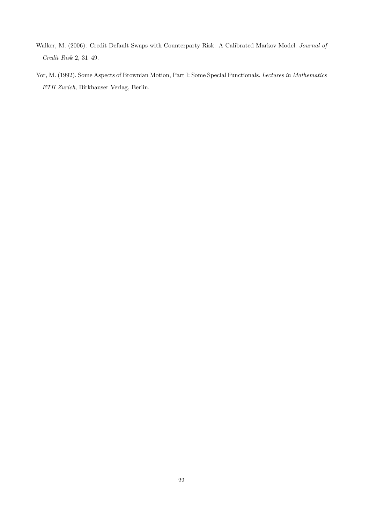- Walker, M. (2006): Credit Default Swaps with Counterparty Risk: A Calibrated Markov Model. *Journal of Credit Risk* 2, 31–49.
- Yor, M. (1992). Some Aspects of Brownian Motion, Part I: Some Special Functionals. *Lectures in Mathematics ETH Zurich*, Birkhauser Verlag, Berlin.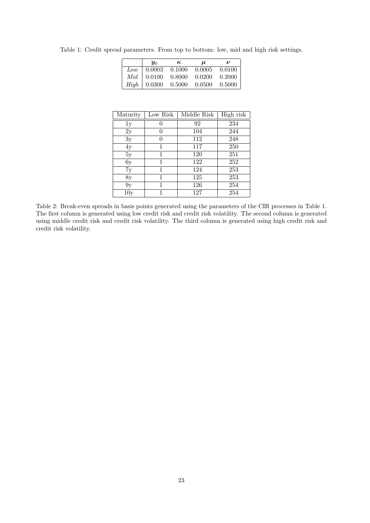Table 1: Credit spread parameters. From top to bottom: low, mid and high risk settings.

|      | $y_0$  | к,     | $\boldsymbol{\mu}$ | "      |
|------|--------|--------|--------------------|--------|
| Low  | 0.0003 | 0.1000 | 0.0005             | 0.0100 |
| Mid  | 0.0100 | 0.8000 | 0.0200             | 0.2000 |
| High | 0.0300 | 0.5000 | 0.0500             | 0.5000 |

| Maturity | Low Risk | Middle Risk | High risk |
|----------|----------|-------------|-----------|
| 1y       |          | 92          | 234       |
| 2y       | 0        | 104         | 244       |
| 3y       |          | 112         | 248       |
| 4y       | 1        | 117         | 250       |
| 5y       |          | 120         | 251       |
| 6y       |          | 122         | 252       |
| 7y       | 1        | 124         | 253       |
| 8y       |          | 125         | 253       |
| 9y       | 1        | 126         | 254       |
| 10y      |          | 127         | 254       |

Table 2: Break-even spreads in basis points generated using the parameters of the CIR processes in Table 1. The first column is generated using low credit risk and credit risk volatility. The second column is generated using middle credit risk and credit risk volatility. The third column is generated using high credit risk and credit risk volatility.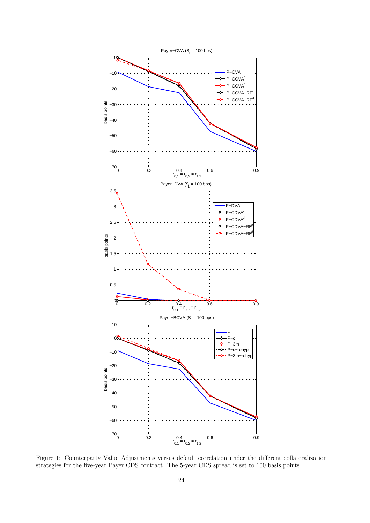

Figure 1: Counterparty Value Adjustments versus default correlation under the different collateralization strategies for the five-year Payer CDS contract. The 5-year CDS spread is set to 100 basis points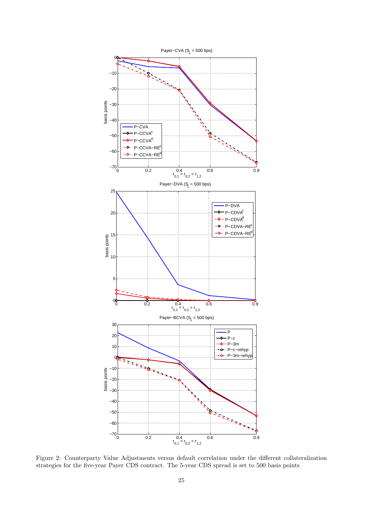

Figure 2: Counterparty Value Adjustments versus default correlation under the different collateralization strategies for the five-year Payer CDS contract. The 5-year CDS spread is set to 500 basis points